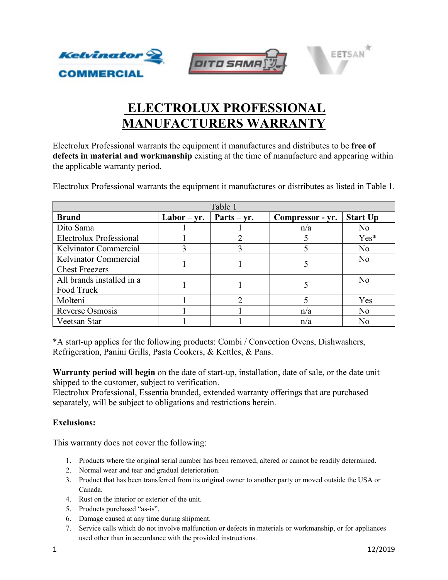

## **ELECTROLUX PROFESSIONAL MANUFACTURERS WARRANTY**

Electrolux Professional warrants the equipment it manufactures and distributes to be **free of defects in material and workmanship** existing at the time of manufacture and appearing within the applicable warranty period.

Electrolux Professional warrants the equipment it manufactures or distributes as listed in Table 1.

| Table 1                   |                                 |               |                  |                 |
|---------------------------|---------------------------------|---------------|------------------|-----------------|
| <b>Brand</b>              | $\mathbf{Labor} - \mathbf{yr}.$ | $Parts - yr.$ | Compressor - yr. | <b>Start Up</b> |
| Dito Sama                 |                                 |               | n/a              | N <sub>o</sub>  |
| Electrolux Professional   |                                 |               |                  | $Yes*$          |
| Kelvinator Commercial     | 3                               |               |                  | No              |
| Kelvinator Commercial     |                                 |               |                  | N <sub>o</sub>  |
| <b>Chest Freezers</b>     |                                 |               |                  |                 |
| All brands installed in a |                                 |               |                  | N <sub>o</sub>  |
| Food Truck                |                                 |               |                  |                 |
| Molteni                   |                                 |               |                  | Yes             |
| Reverse Osmosis           |                                 |               | n/a              | No              |
| Veetsan Star              |                                 |               | n/a              | No              |

\*A start-up applies for the following products: Combi / Convection Ovens, Dishwashers, Refrigeration, Panini Grills, Pasta Cookers, & Kettles, & Pans.

**Warranty period will begin** on the date of start-up, installation, date of sale, or the date unit shipped to the customer, subject to verification.

Electrolux Professional, Essentia branded, extended warranty offerings that are purchased separately, will be subject to obligations and restrictions herein.

## **Exclusions:**

This warranty does not cover the following:

- 1. Products where the original serial number has been removed, altered or cannot be readily determined.
- 2. Normal wear and tear and gradual deterioration.
- 3. Product that has been transferred from its original owner to another party or moved outside the USA or Canada.
- 4. Rust on the interior or exterior of the unit.
- 5. Products purchased "as-is".
- 6. Damage caused at any time during shipment.
- 7. Service calls which do not involve malfunction or defects in materials or workmanship, or for appliances used other than in accordance with the provided instructions.